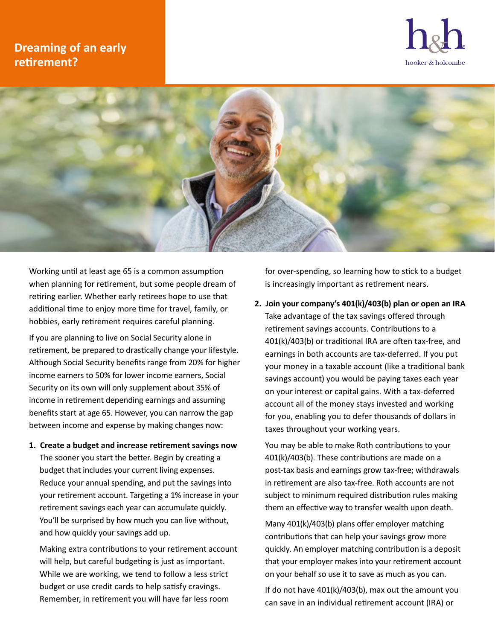## **Dreaming of an early retirement?**





Working until at least age 65 is a common assumption when planning for retirement, but some people dream of retiring earlier. Whether early retirees hope to use that additional time to enjoy more time for travel, family, or hobbies, early retirement requires careful planning.

If you are planning to live on Social Security alone in retirement, be prepared to drastically change your lifestyle. Although Social Security benefits range from 20% for higher income earners to 50% for lower income earners, Social Security on its own will only supplement about 35% of income in retirement depending earnings and assuming benefits start at age 65. However, you can narrow the gap between income and expense by making changes now:

**1. Create a budget and increase retirement savings now** The sooner you start the better. Begin by creating a budget that includes your current living expenses. Reduce your annual spending, and put the savings into your retirement account. Targeting a 1% increase in your retirement savings each year can accumulate quickly. You'll be surprised by how much you can live without, and how quickly your savings add up.

Making extra contributions to your retirement account will help, but careful budgeting is just as important. While we are working, we tend to follow a less strict budget or use credit cards to help satisfy cravings. Remember, in retirement you will have far less room

for over-spending, so learning how to stick to a budget is increasingly important as retirement nears.

**2. Join your company's 401(k)/403(b) plan or open an IRA** Take advantage of the tax savings offered through retirement savings accounts. Contributions to a 401(k)/403(b) or traditional IRA are often tax-free, and earnings in both accounts are tax-deferred. If you put your money in a taxable account (like a traditional bank savings account) you would be paying taxes each year on your interest or capital gains. With a tax-deferred account all of the money stays invested and working for you, enabling you to defer thousands of dollars in taxes throughout your working years.

You may be able to make Roth contributions to your 401(k)/403(b). These contributions are made on a post-tax basis and earnings grow tax-free; withdrawals in retirement are also tax-free. Roth accounts are not subject to minimum required distribution rules making them an effective way to transfer wealth upon death.

Many 401(k)/403(b) plans offer employer matching contributions that can help your savings grow more quickly. An employer matching contribution is a deposit that your employer makes into your retirement account on your behalf so use it to save as much as you can.

If do not have 401(k)/403(b), max out the amount you can save in an individual retirement account (IRA) or